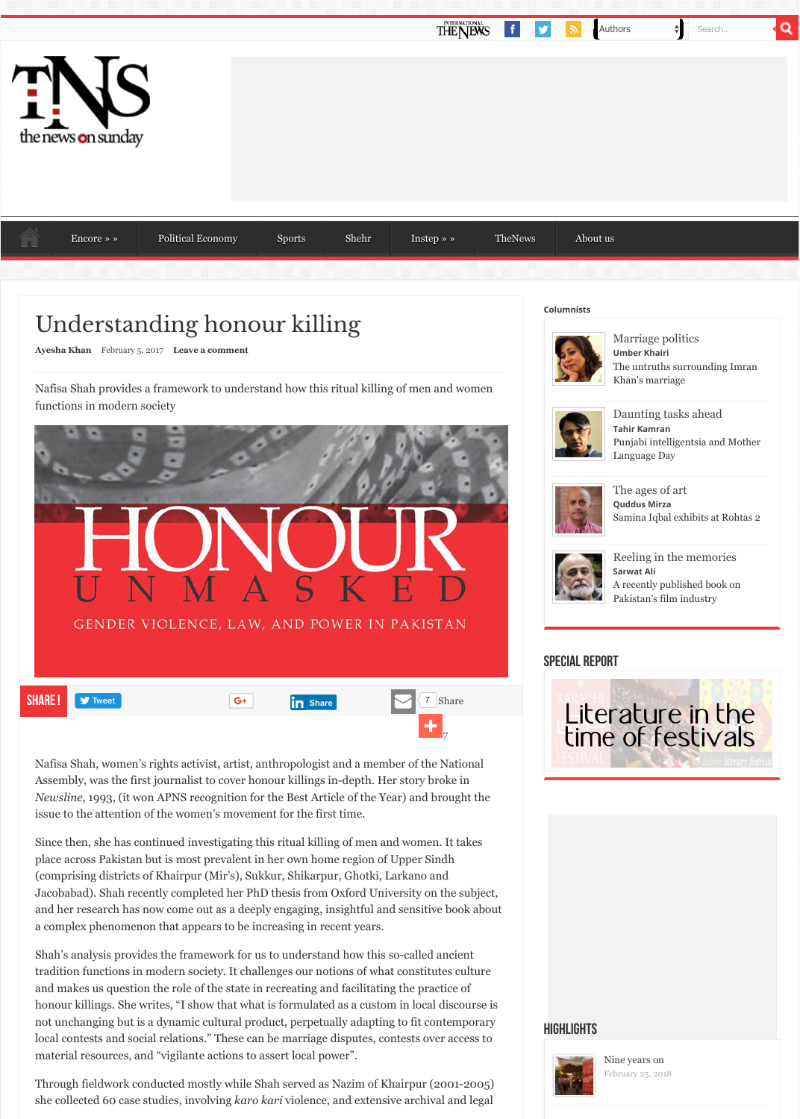

[Na](http://tns.thenews.com.pk/)[fisa Shah, women](http://tns.thenews.com.pk/category/encore/)['s rights activist, artist,](http://tns.thenews.com.pk/category/political-economy/) [anthropologis](http://tns.thenews.com.pk/category/sports/)[t and a mem](http://tns.thenews.com.pk/category/shehr/)ber of the Natio Assembly, was the first journalist to cover honour killings in-depth. Her story broke in *Newsline*, 1993, (it won APNS recognition for the Best Article of the Year) and brough issue to the attention of the women's movement for the first time.

Since then, she has continued investigating this ritual killing of men and women. It tak [place across](http://tns.thenews.com.pk/writers/ayesha-khan/) Pakistan but is [most prevalent](#page-3-0) in her own home region of Upper Sindh (comprising districts of Khairpur (Mir's), Sukkur, Shikarpur, Ghotki, Larkano and Jacobabad). Shah recently completed her PhD thesis from Oxford University on the suband her research has now come out as a deeply engaging, insightful and sensitive bool a complex phenomenon that appears to be increasing in recent years.

Shah's analysis provides the framework for us to understand how this so-called ancient tradition functions in modern society. It challenges our notions of what constitutes cu and makes us question the role of the state in recreating and facilitating the practice of honour killings. She writes, "I show that what is formulated as a custom in local discourse is the writes. not unchanging but is a dynamic cultural product, perpetually adapting to fit contemp local contests and social relations." These can be marriage disputes, contests over acce material resources, and "vigilante actions to assert local power".

Through fieldwork conducted mostly while Shah served as Nazim of Khairpur (2001-2 she collected 60 case studies, involving *karo kari* violence, and extensive archival and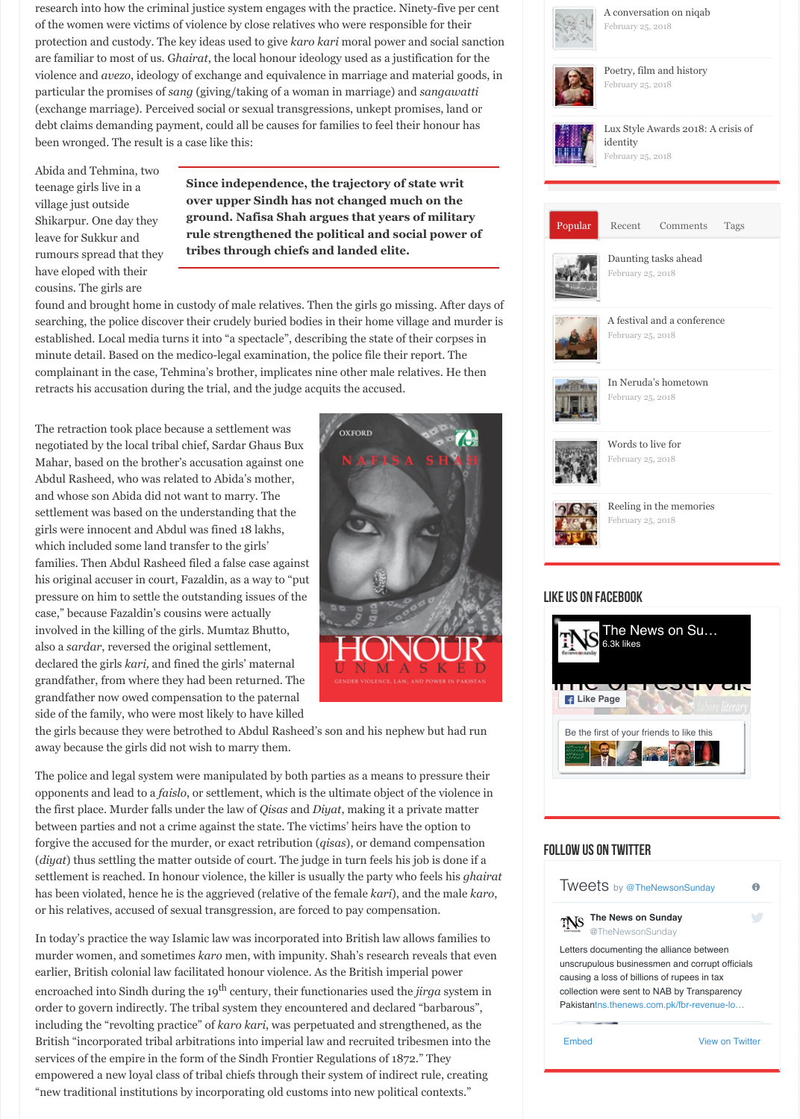settlement was based on the understanding that the girls were innocent and Abdul was fined 18 lakhs, which included some land transfer to the girls' families. Then Abdul Rasheed filed a false case against his original accuser in court, Fazaldin, as a way to "put pressure on him to settle the outstanding issues of the case," because Fazaldin's cousins were actually involved in the killing of the girls. Mumtaz Bhutto, also a *sardar*, reversed the original settlement, declared the girls *kari,* and fined the girls' maternal grandfather, from where they had been returned. The grandfather now owed compensation to the paternal side of the family, who were most likely to have killed

<span id="page-1-0"></span>

the girls because they were betrothed to Abdul Rasheed's son and his nephew but had away because the girls did not wish to marry them.

The police and legal system were manipulated by both parties as a means to pressure to opponents and lead to a *faislo*, or settlement, which is the ultimate object of the violence the first place. Murder falls under the law of *Qisas* and *Diyat*, making it a private matt between parties and not a crime against the state. The victims' heirs have the option to forgive the accused for the murder, or exact retribution (*qisas*), or demand compensation (*diyat*) thus settling the matter outside of court. The judge in turn feels his job is done settlement is reached. In honour violence, the killer is usually the party who feels his *g* has been violated, hence he is the aggrieved (relative of the female *kari*), and the male or his relatives, accused of sexual transgression, are forced to pay compensation.

In today's practice the way Islamic law was incorporated into British law allows famili murder women, and sometimes *karo* men, with impunity. Shah's research reveals that earlier, British colonial law facilitated honour violence. As the British imperial power encroached into Sindh during the 19<sup>th</sup> century, their functionaries used the *jirga* system order to govern indirectly. The tribal system they encountered and declared "barbarous" including the "revolting practice" of *karo kari*, was perpetuated and strengthened, as the British "incorporated tribal arbitrations into imperial law and recruited tribesmen into services of the empire in the form of the Sindh Frontier Regulations of 1872." They empowered a new loyal class of tribal chiefs through their system of indirect rule, crea "new traditional institutions by incorporating old customs into new political contexts."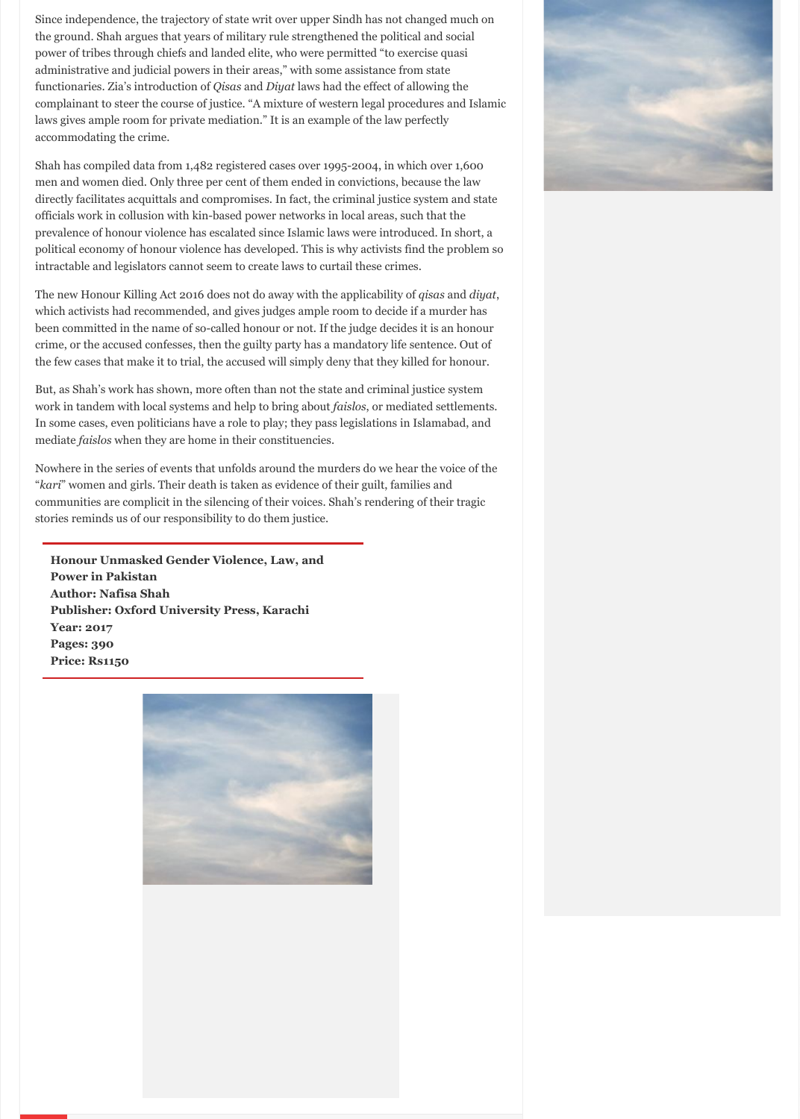stories reminds us of our responsibility to do them justice.

**Honour Unmasked Gender Violence, Law, and Power in Pakistan Author: Nafisa Shah Publisher: Oxford University Press, Karachi Year: 2017 Pages: 390 Price: Rs1150**